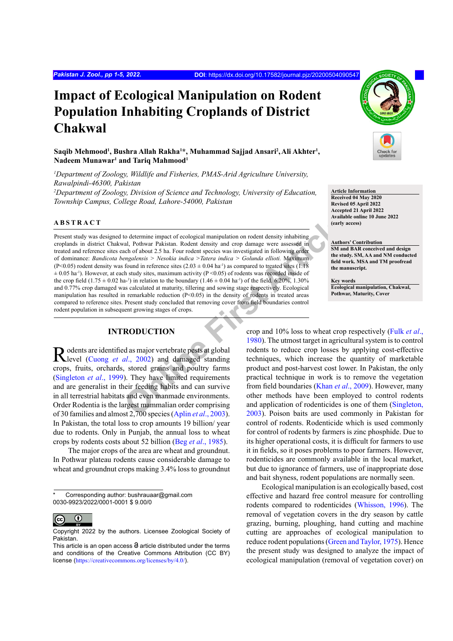# **Impact of Ecological Manipulation on Rodent Population Inhabiting Croplands of District Chakwal**

 $\mathbf{S}$ aqib Mehmood<sup>1</sup>, Bushra Allah Rakha<sup>1\*</sup>, Muhammad Sajjad Ansari<sup>2</sup>, Ali Akhter<sup>1</sup>,  $\mathbf N$ adeem Munawar<sup>1</sup> and Tariq Mahmood<sup>1</sup>

*1 Department of Zoology, Wildlife and Fisheries, PMAS-Arid Agriculture University, Rawalpindi-46300, Pakistan 2 Department of Zoology, Division of Science and Technology, University of Education, Township Campus, College Road, Lahore-54000, Pakistan*

# **ABSTRACT**

No determine impact of ecological manipulation on rodent density inhabiting<br>
Articlear Pack Articlear Articlear Articlear Articlear Articlear Articlear Articlear Articlear Articlear Articlear Articlear Articlear Articlear Present study was designed to determine impact of ecological manipulation on rodent density inhabiting croplands in district Chakwal, Pothwar Pakistan. Rodent density and crop damage were assessed in treated and reference sites each of about 2.5 ha. Four rodent species was investigated in following order of dominance: *Bandicota bengalensis > Nesokia indica >Tatera indica > Golunda ellioti.* Maximum (P<0.05) rodent density was found in reference sites (2.03  $\pm$  0.04 ha<sup>-1</sup>) as compared to treated sites (1.18)  $\pm$  0.05 ha<sup>-1</sup>). However, at each study sites, maximum activity (P <0.05) of rodents was recorded inside of the crop field  $(1.75 \pm 0.02 \text{ ha}^{-1})$  in relation to the boundary  $(1.46 \pm 0.04 \text{ ha}^{-1})$  of the field. 6.20%, 1.30% and 0.77% crop damaged was calculated at maturity, tillering and sowing stage respectively. Ecological manipulation has resulted in remarkable reduction  $(P< 0.05)$  in the density of rodents in treated areas compared to reference sites. Present study concluded that removing cover from field boundaries control rodent population in subsequent growing stages of crops.

# **INTRODUCTION**

Rodents are identified as major vertebrate pests at global (Cuong *et al.*, 2002) and damaged standing crops, fruits, orchards, stored grains and poultry farms [\(Singleton](#page-4-1) *et al*., 1999). They have limited requirements and are generalist in their feeding habits and can survive in all terrestrial habitats and even manmade environments. Order Rodentia is the largest mammalian order comprising of 30 families and almost 2,700 species (Aplin *et al*., 2003). In Pakistan, the total loss to crop amounts 19 billion/ year due to rodents. Only in Punjab, the annual loss to wheat crops by rodents costs about 52 billion (Beg *et al*[., 1985\)](#page-3-1).

The major crops of the area are wheat and groundnut. In Pothwar plateau rodents cause considerable damage to wheat and groundnut crops making 3.4% loss to groundnut



**Article Information Received 04 May 2020 Revised 05 April 2022 Accepted 21 April 2022 Available online 10 June 2022 (early access)**

**Authors' Contribution SM and BAR conceived and design the study. SM, AA and NM conducted field work. MSA and TM proofread the manuscript.** 

**Key words Ecological manipulation, Chakwal, Pothwar, Maturity, Cover**

crop and 10% loss to wheat crop respectively ([Fulk](#page-4-2) *et al*., 1980). The utmost target in agricultural system is to control rodents to reduce crop losses by applying cost-effective techniques, which increase the quantity of marketable product and post-harvest cost lower. In Pakistan, the only practical technique in work is to remove the vegetation from field boundaries (Khan *et al*., 2009). However, many other methods have been employed to control rodents and application of rodenticides is one of them ([Singleton,](#page-4-4) 2003). Poison baits are used commonly in Pakistan for control of rodents. Rodenticide which is used commonly for control of rodents by farmers is zinc phosphide. Due to its higher operational costs, it is difficult for farmers to use it in fields, so it poses problems to poor farmers. However, rodenticides are commonly available in the local market, but due to ignorance of farmers, use of inappropriate dose and bait shyness, rodent populations are normally seen.

Ecological manipulation is an ecologically based, cost effective and hazard free control measure for controlling rodents compared to rodenticides [\(Whisson, 1996](#page-4-5)). The removal of vegetation covers in the dry season by cattle grazing, burning, ploughing, hand cutting and machine cutting are approaches of ecological manipulation to reduce rodent populations ([Green and Taylor, 1975](#page-4-6)). Hence the present study was designed to analyze the impact of ecological manipulation (removal of vegetation cover) on

Corresponding author: bushrauaar@gmail.com 0030-9923/2022/0001-0001 \$ 9.00/0

 $^\copyright$  $|cc|$ 

Copyright 2022 by the authors. Licensee Zoological Society of Pakistan.

This article is an open access  $\Theta$  article distributed under the terms and conditions of the Creative Commons Attribution (CC BY) license (<https://creativecommons.org/licenses/by/4.0/>).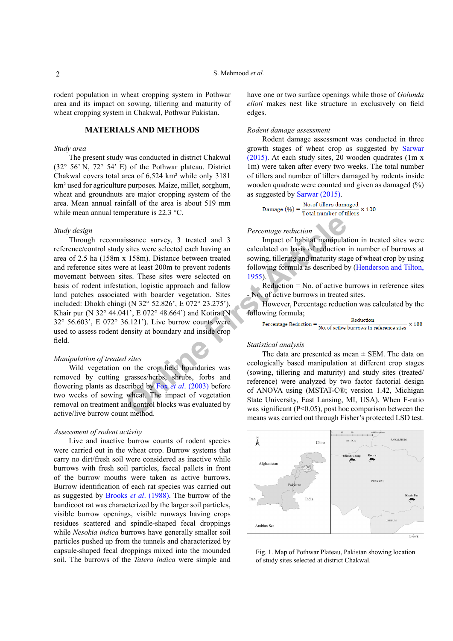rodent population in wheat cropping system in Pothwar area and its impact on sowing, tillering and maturity of wheat cropping system in Chakwal, Pothwar Pakistan.

# **MATERIALS AND METHODS**

#### *Study area*

The present study was conducted in district Chakwal (32° 56' N, 72° 54' E) of the Pothwar plateau. District Chakwal covers total area of 6,524 km² while only 3181 km² used for agriculture purposes. Maize, millet, sorghum, wheat and groundnuts are major cropping system of the area. Mean annual rainfall of the area is about 519 mm while mean annual temperature is 22.3 °C.

# *Study design*

Fracture 1 Stated and 3 **Computer Confident Confident** Stated and 3 **Condition** Stated and 3 **Condition** and calculated on basis of reduction at 158m). Distance between treated sowing tillering and maturity state at least Through reconnaissance survey, 3 treated and 3 reference/control study sites were selected each having an area of 2.5 ha (158m x 158m). Distance between treated and reference sites were at least 200m to prevent rodents movement between sites. These sites were selected on basis of rodent infestation, logistic approach and fallow land patches associated with boarder vegetation. Sites included: Dhokh chingi (N 32° 52.826', E 072° 23.275'), Khair pur (N 32° 44.041', E 072° 48.664') and Kotira (N 32° 56.603', E 072° 36.121'). Live burrow counts were used to assess rodent density at boundary and inside crop field.

#### *Manipulation of treated sites*

Wild vegetation on the crop field boundaries was removed by cutting grasses/herbs, shrubs, forbs and flowering plants as described by Fox *et al*. (2003) before two weeks of sowing wheat. The impact of vegetation removal on treatment and control blocks was evaluated by active/live burrow count method.

## *Assessment of rodent activity*

Live and inactive burrow counts of rodent species were carried out in the wheat crop. Burrow systems that carry no dirt/fresh soil were considered as inactive while burrows with fresh soil particles, faecal pallets in front of the burrow mouths were taken as active burrows. Burrow identification of each rat species was carried out as suggested by Brooks *et al*[. \(1988\)](#page-4-8). The burrow of the bandicoot rat was characterized by the larger soil particles, visible burrow openings, visible runways having crops residues scattered and spindle-shaped fecal droppings while *Nesokia indica* burrows have generally smaller soil particles pushed up from the tunnels and characterized by capsule-shaped fecal droppings mixed into the mounded soil. The burrows of the *Tatera indica* were simple and have one or two surface openings while those of *Golunda elioti* makes nest like structure in exclusively on field edges.

### *Rodent damage assessment*

Rodent damage assessment was conducted in three growth stages of wheat crop as suggested by [Sarwar](#page-4-9) [\(2015\)](#page-4-9). At each study sites, 20 wooden quadrates (1m x 1m) were taken after every two weeks. The total number of tillers and number of tillers damaged by rodents inside wooden quadrate were counted and given as damaged (%) as suggested by [Sarwar \(2015\).](#page-4-9)

$$
Damage (\%) = \frac{No. of tillers damaged}{Total number of tillers} \times 100
$$

#### *Percentage reduction*

Impact of habitat manipulation in treated sites were calculated on basis of reduction in number of burrows at sowing, tillering and maturity stage of wheat crop by using following formula as described by ([Henderson and Tilton,](#page-4-10) 1955).

Reduction = No. of active burrows in reference sites - No. of active burrows in treated sites.

However, Percentage reduction was calculated by the following formula;

```
Reduction
                             \times 100
```
#### *Statistical analysis*

The data are presented as mean  $\pm$  SEM. The data on ecologically based manipulation at different crop stages (sowing, tillering and maturity) and study sites (treated/ reference) were analyzed by two factor factorial design of ANOVA using (MSTAT-C®; version 1.42, Michigan State University, East Lansing, MI, USA). When F-ratio was significant (P<0.05), post hoc comparison between the means was carried out through Fisher's protected LSD test.



Fig. 1. Map of Pothwar Plateau, Pakistan showing location of study sites selected at district Chakwal.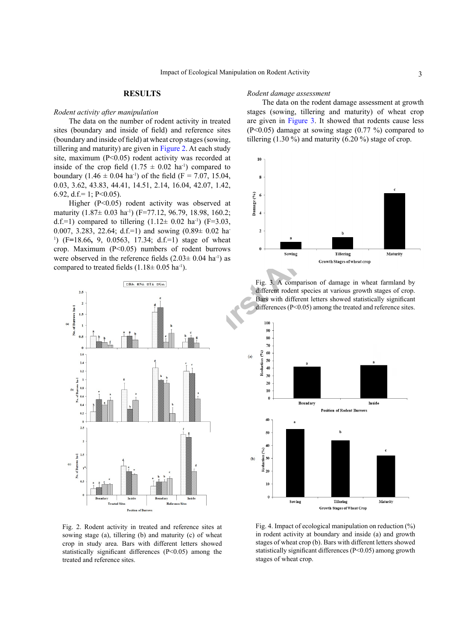#### **RESULTS**

#### *Rodent activity after manipulation*

The data on the number of rodent activity in treated sites (boundary and inside of field) and reference sites (boundary and inside of field) at wheat crop stages (sowing, tillering and maturity) are given in [Figure 2](#page-2-0). At each study site, maximum (P<0.05) rodent activity was recorded at inside of the crop field  $(1.75 \pm 0.02 \text{ ha}^{-1})$  compared to boundary  $(1.46 \pm 0.04 \text{ ha}^{\text{-1}})$  of the field (F = 7.07, 15.04, 0.03, 3.62, 43.83, 44.41, 14.51, 2.14, 16.04, 42.07, 1.42, 6.92, d.f.= 1; P<0.05).

Higher (P<0.05) rodent activity was observed at maturity (1.87± 0.03 ha<sup>-1</sup>) (F=77.12, 96.79, 18.98, 160.2; d.f.=1) compared to tillering  $(1.12 \pm 0.02 \text{ ha}^{-1})$  (F=3.03, 0.007, 3.283, 22.64; d.f.=1) and sowing  $(0.89 \pm 0.02)$  ha-1 ) (F**=**18.66**,** 9, 0.0563, 17.34; d.f.=1) stage of wheat crop. Maximum  $(P<0.05)$  numbers of rodent burrows were observed in the reference fields  $(2.03 \pm 0.04 \text{ ha}^{-1})$  as compared to treated fields  $(1.18 \pm 0.05 \text{ ha}^{-1})$ .



<span id="page-2-0"></span>Fig. 2. Rodent activity in treated and reference sites at sowing stage (a), tillering (b) and maturity (c) of wheat crop in study area. Bars with different letters showed statistically significant differences (P<0.05) among the treated and reference sites.

## *Rodent damage assessment*

The data on the rodent damage assessment at growth stages (sowing, tillering and maturity) of wheat crop are given in [Figure 3](#page-2-1). It showed that rodents cause less (P<0.05) damage at sowing stage (0.77 %) compared to tillering  $(1.30\%)$  and maturity  $(6.20\%)$  stage of crop.



<span id="page-2-1"></span>Fig. 3. A comparison of damage in wheat farmland by different rodent species at various growth stages of crop. Bars with different letters showed statistically significant differences (P<0.05) among the treated and reference sites.



<span id="page-2-2"></span>Fig. 4. Impact of ecological manipulation on reduction (%) in rodent activity at boundary and inside (a) and growth stages of wheat crop (b). Bars with different letters showed statistically significant differences (P<0.05) among growth stages of wheat crop.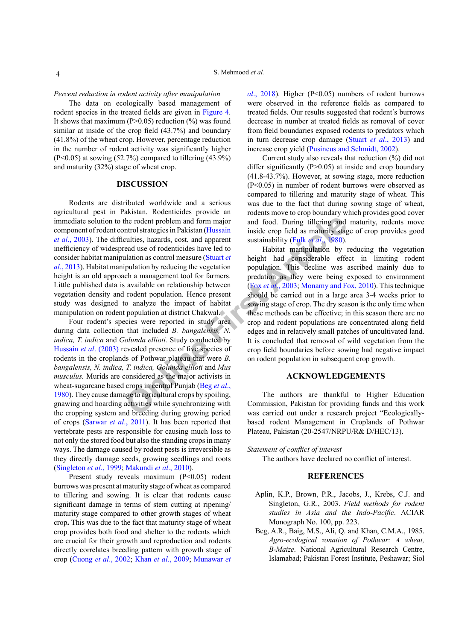#### *Percent reduction in rodent activity after manipulation*

The data on ecologically based management of rodent species in the treated fields are given in [Figure 4.](#page-2-2) It shows that maximum ( $P > 0.05$ ) reduction (%) was found similar at inside of the crop field (43.7%) and boundary (41.8%) of the wheat crop. However, percentage reduction in the number of rodent activity was significantly higher  $(P<0.05)$  at sowing  $(52.7%)$  compared to tillering  $(43.9%)$ and maturity (32%) stage of wheat crop.

## **DISCUSSION**

Rodents are distributed worldwide and a serious agricultural pest in Pakistan. Rodenticides provide an immediate solution to the rodent problem and form major component of rodent control strategies in Pakistan (Hussain *et al*[., 2003](#page-4-11)). The difficulties, hazards, cost, and apparent inefficiency of widespread use of rodenticides have led to consider habitat manipulation as control measure (Stuart *et al*[., 2013](#page-4-12)). Habitat manipulation by reducing the vegetation height is an old approach a management tool for farmers. Little published data is available on relationship between vegetation density and rodent population. Hence present study was designed to analyze the impact of habitat manipulation on rodent population at district Chakwal.

Four rodent's species were reported in study area during data collection that included *B. bangalensis, N. indica, T. indica* and *Golunda ellioti.* Study conducted by [Hussain](#page-4-11) *et al.* (2003) revealed presence of five species of rodents in the croplands of Pothwar plateau that were *B. bangalensis, N. indica, T. indica, Golunda ellioti* and *Mus musculus.* Murids are considered as the major activists in wheat-sugarcane based crops in central Punjab (Beg *et al*., [1980\)](#page-3-1). They cause damage to agricultural crops by spoiling, gnawing and hoarding activities while synchronizing with the cropping system and breeding during growing period of crops ([Sarwar](#page-4-13) *et al*., 2011). It has been reported that vertebrate pests are responsible for causing much loss to not only the stored food but also the standing crops in many ways. The damage caused by rodent pests is irreversible as they directly damage seeds, growing seedlings and roots [\(Singleton](#page-4-1) *et al*., 1999; [Makundi](#page-4-14) *et al*., 2010).

Present study reveals maximum (P<0.05) rodent burrows was present at maturity stage of wheat as compared to tillering and sowing. It is clear that rodents cause significant damage in terms of stem cutting at ripening/ maturity stage compared to other growth stages of wheat crop**.** This was due to the fact that maturity stage of wheat crop provides both food and shelter to the rodents which are crucial for their growth and reproduction and rodents directly correlates breeding pattern with growth stage of crop [\(Cuong](#page-4-0) *et al*., 2002; Khan *et al*[., 2009;](#page-4-3) [Munawar](#page-4-15) *et* 

*al.*, 2018). Higher (P<0.05) numbers of rodent burrows were observed in the reference fields as compared to treated fields. Our results suggested that rodent's burrows decrease in number at treated fields as removal of cover from field boundaries exposed rodents to predators which in turn decrease crop damage (Stuart *et al*[., 2013\)](#page-4-12) and increase crop yield [\(Pusineus and Schmidt, 2002\)](#page-4-16).

Current study also reveals that reduction (%) did not differ significantly  $(P>0.05)$  at inside and crop boundary (41.8-43.7%). However, at sowing stage, more reduction (P<0.05) in number of rodent burrows were observed as compared to tillering and maturity stage of wheat. This was due to the fact that during sowing stage of wheat, rodents move to crop boundary which provides good cover and food. During tillering and maturity, rodents move inside crop field as maturity stage of crop provides good sustainability (Fulk *et al*., 1980).

[t](#page-4-7)he rodent problem and form major and food. During tillering and throl strategies in Pakistan (Hussain inside crop field as maturity stag units of rodenticides have led to strainability (Fulk et al., 1980). Halation as co Habitat manipulation by reducing the vegetation height had considerable effect in limiting rodent population. This decline was ascribed mainly due to predation as they were being exposed to environment (Fox *et al*., 2003; [Monamy and Fox, 2010](#page-4-14)). This technique should be carried out in a large area 3-4 weeks prior to sowing stage of crop. The dry season is the only time when these methods can be effective; in this season there are no crop and rodent populations are concentrated along field edges and in relatively small patches of uncultivated land. It is concluded that removal of wild vegetation from the crop field boundaries before sowing had negative impact on rodent population in subsequent crop growth.

# **ACKNOWLEDGEMENTS**

The authors are thankful to Higher Education Commission, Pakistan for providing funds and this work was carried out under a research project "Ecologicallybased rodent Management in Croplands of Pothwar Plateau, Pakistan (20-2547/NRPU/R& D/HEC/13).

#### *Statement of conflict of interest*

The authors have declared no conflict of interest.

# **REFERENCES**

- <span id="page-3-0"></span>Aplin, K.P., Brown, P.R., Jacobs, J., Krebs, C.J. and Singleton, G.R., 2003. *Field methods for rodent studies in Asia and the Indo-Pacific*. ACIAR Monograph No. 100, pp. 223.
- <span id="page-3-1"></span>Beg, A.R., Baig, M.S., Ali, Q. and Khan, C.M.A., 1985. *Agro-ecological zonation of Pothwar: A wheat, B-Maize*. National Agricultural Research Centre, Islamabad; Pakistan Forest Institute, Peshawar; Siol